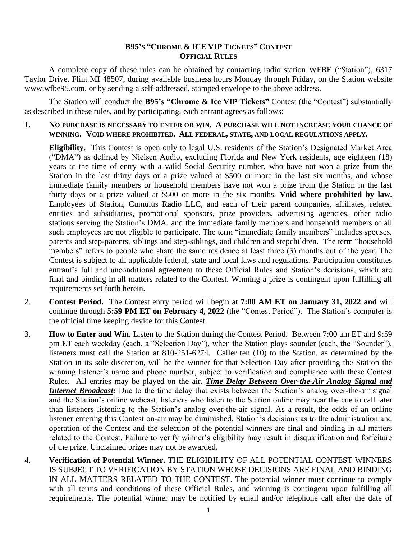## **B95'S "CHROME & ICE VIP TICKETS" CONTEST OFFICIAL RULES**

A complete copy of these rules can be obtained by contacting radio station WFBE ("Station"), 6317 Taylor Drive, Flint MI 48507, during available business hours Monday through Friday, on the Station website www.wfbe95.com, or by sending a self-addressed, stamped envelope to the above address.

The Station will conduct the **B95's "Chrome & Ice VIP Tickets"** Contest (the "Contest") substantially as described in these rules, and by participating, each entrant agrees as follows:

1. **NO PURCHASE IS NECESSARY TO ENTER OR WIN. A PURCHASE WILL NOT INCREASE YOUR CHANCE OF WINNING. VOID WHERE PROHIBITED. ALL FEDERAL, STATE, AND LOCAL REGULATIONS APPLY.**

**Eligibility.** This Contest is open only to legal U.S. residents of the Station's Designated Market Area ("DMA") as defined by Nielsen Audio, excluding Florida and New York residents, age eighteen (18) years at the time of entry with a valid Social Security number, who have not won a prize from the Station in the last thirty days or a prize valued at \$500 or more in the last six months, and whose immediate family members or household members have not won a prize from the Station in the last thirty days or a prize valued at \$500 or more in the six months. **Void where prohibited by law.** Employees of Station, Cumulus Radio LLC, and each of their parent companies, affiliates, related entities and subsidiaries, promotional sponsors, prize providers, advertising agencies, other radio stations serving the Station's DMA, and the immediate family members and household members of all such employees are not eligible to participate. The term "immediate family members" includes spouses, parents and step-parents, siblings and step-siblings, and children and stepchildren. The term "household members" refers to people who share the same residence at least three (3) months out of the year. The Contest is subject to all applicable federal, state and local laws and regulations. Participation constitutes entrant's full and unconditional agreement to these Official Rules and Station's decisions, which are final and binding in all matters related to the Contest. Winning a prize is contingent upon fulfilling all requirements set forth herein.

- 2. **Contest Period.** The Contest entry period will begin at **7:00 AM ET on January 31, 2022 and** will continue through **5:59 PM ET on February 4, 2022** (the "Contest Period"). The Station's computer is the official time keeping device for this Contest.
- 3. **How to Enter and Win.** Listen to the Station during the Contest Period. Between 7:00 am ET and 9:59 pm ET each weekday (each, a "Selection Day"), when the Station plays sounder (each, the "Sounder"), listeners must call the Station at 810-251-6274. Caller ten (10) to the Station, as determined by the Station in its sole discretion, will be the winner for that Selection Day after providing the Station the winning listener's name and phone number, subject to verification and compliance with these Contest Rules. All entries may be played on the air. *Time Delay Between Over-the-Air Analog Signal and Internet Broadcast:* Due to the time delay that exists between the Station's analog over-the-air signal and the Station's online webcast, listeners who listen to the Station online may hear the cue to call later than listeners listening to the Station's analog over-the-air signal. As a result, the odds of an online listener entering this Contest on-air may be diminished. Station's decisions as to the administration and operation of the Contest and the selection of the potential winners are final and binding in all matters related to the Contest. Failure to verify winner's eligibility may result in disqualification and forfeiture of the prize. Unclaimed prizes may not be awarded.
- 4. **Verification of Potential Winner.** THE ELIGIBILITY OF ALL POTENTIAL CONTEST WINNERS IS SUBJECT TO VERIFICATION BY STATION WHOSE DECISIONS ARE FINAL AND BINDING IN ALL MATTERS RELATED TO THE CONTEST. The potential winner must continue to comply with all terms and conditions of these Official Rules, and winning is contingent upon fulfilling all requirements. The potential winner may be notified by email and/or telephone call after the date of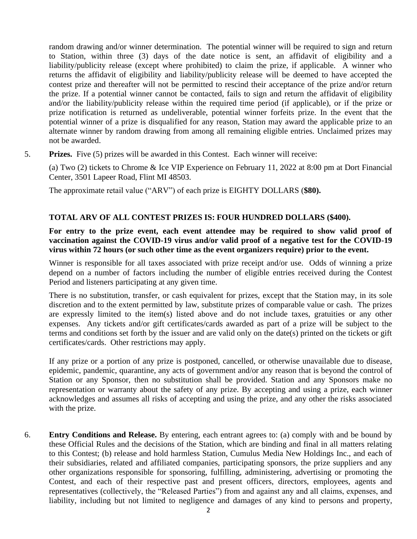random drawing and/or winner determination. The potential winner will be required to sign and return to Station, within three (3) days of the date notice is sent, an affidavit of eligibility and a liability/publicity release (except where prohibited) to claim the prize, if applicable. A winner who returns the affidavit of eligibility and liability/publicity release will be deemed to have accepted the contest prize and thereafter will not be permitted to rescind their acceptance of the prize and/or return the prize. If a potential winner cannot be contacted, fails to sign and return the affidavit of eligibility and/or the liability/publicity release within the required time period (if applicable), or if the prize or prize notification is returned as undeliverable, potential winner forfeits prize. In the event that the potential winner of a prize is disqualified for any reason, Station may award the applicable prize to an alternate winner by random drawing from among all remaining eligible entries. Unclaimed prizes may not be awarded.

5. **Prizes.** Five (5) prizes will be awarded in this Contest. Each winner will receive:

(a) Two (2) tickets to Chrome & Ice VIP Experience on February 11, 2022 at 8:00 pm at Dort Financial Center, 3501 Lapeer Road, Flint MI 48503.

The approximate retail value ("ARV") of each prize is EIGHTY DOLLARS (**\$80).** 

## **TOTAL ARV OF ALL CONTEST PRIZES IS: FOUR HUNDRED DOLLARS (\$400).**

**For entry to the prize event, each event attendee may be required to show valid proof of vaccination against the COVID-19 virus and/or valid proof of a negative test for the COVID-19 virus within 72 hours (or such other time as the event organizers require) prior to the event.**

Winner is responsible for all taxes associated with prize receipt and/or use. Odds of winning a prize depend on a number of factors including the number of eligible entries received during the Contest Period and listeners participating at any given time.

There is no substitution, transfer, or cash equivalent for prizes, except that the Station may, in its sole discretion and to the extent permitted by law, substitute prizes of comparable value or cash. The prizes are expressly limited to the item(s) listed above and do not include taxes, gratuities or any other expenses. Any tickets and/or gift certificates/cards awarded as part of a prize will be subject to the terms and conditions set forth by the issuer and are valid only on the date(s) printed on the tickets or gift certificates/cards. Other restrictions may apply.

If any prize or a portion of any prize is postponed, cancelled, or otherwise unavailable due to disease, epidemic, pandemic, quarantine, any acts of government and/or any reason that is beyond the control of Station or any Sponsor, then no substitution shall be provided. Station and any Sponsors make no representation or warranty about the safety of any prize. By accepting and using a prize, each winner acknowledges and assumes all risks of accepting and using the prize, and any other the risks associated with the prize.

6. **Entry Conditions and Release.** By entering, each entrant agrees to: (a) comply with and be bound by these Official Rules and the decisions of the Station, which are binding and final in all matters relating to this Contest; (b) release and hold harmless Station, Cumulus Media New Holdings Inc., and each of their subsidiaries, related and affiliated companies, participating sponsors, the prize suppliers and any other organizations responsible for sponsoring, fulfilling, administering, advertising or promoting the Contest, and each of their respective past and present officers, directors, employees, agents and representatives (collectively, the "Released Parties") from and against any and all claims, expenses, and liability, including but not limited to negligence and damages of any kind to persons and property,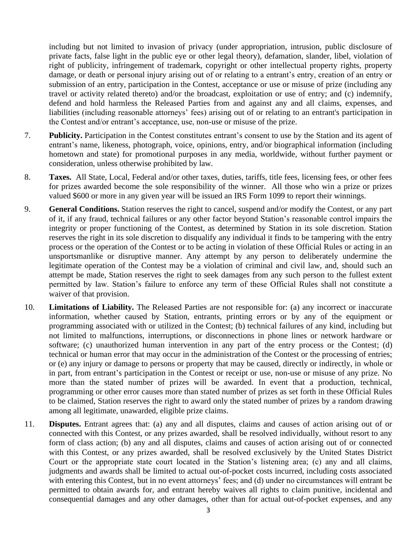including but not limited to invasion of privacy (under appropriation, intrusion, public disclosure of private facts, false light in the public eye or other legal theory), defamation, slander, libel, violation of right of publicity, infringement of trademark, copyright or other intellectual property rights, property damage, or death or personal injury arising out of or relating to a entrant's entry, creation of an entry or submission of an entry, participation in the Contest, acceptance or use or misuse of prize (including any travel or activity related thereto) and/or the broadcast, exploitation or use of entry; and (c) indemnify, defend and hold harmless the Released Parties from and against any and all claims, expenses, and liabilities (including reasonable attorneys' fees) arising out of or relating to an entrant's participation in the Contest and/or entrant's acceptance, use, non-use or misuse of the prize.

- 7. **Publicity.** Participation in the Contest constitutes entrant's consent to use by the Station and its agent of entrant's name, likeness, photograph, voice, opinions, entry, and/or biographical information (including hometown and state) for promotional purposes in any media, worldwide, without further payment or consideration, unless otherwise prohibited by law.
- 8. **Taxes.** All State, Local, Federal and/or other taxes, duties, tariffs, title fees, licensing fees, or other fees for prizes awarded become the sole responsibility of the winner. All those who win a prize or prizes valued \$600 or more in any given year will be issued an IRS Form 1099 to report their winnings.
- 9. **General Conditions.** Station reserves the right to cancel, suspend and/or modify the Contest, or any part of it, if any fraud, technical failures or any other factor beyond Station's reasonable control impairs the integrity or proper functioning of the Contest, as determined by Station in its sole discretion. Station reserves the right in its sole discretion to disqualify any individual it finds to be tampering with the entry process or the operation of the Contest or to be acting in violation of these Official Rules or acting in an unsportsmanlike or disruptive manner. Any attempt by any person to deliberately undermine the legitimate operation of the Contest may be a violation of criminal and civil law, and, should such an attempt be made, Station reserves the right to seek damages from any such person to the fullest extent permitted by law. Station's failure to enforce any term of these Official Rules shall not constitute a waiver of that provision.
- 10. **Limitations of Liability.** The Released Parties are not responsible for: (a) any incorrect or inaccurate information, whether caused by Station, entrants, printing errors or by any of the equipment or programming associated with or utilized in the Contest; (b) technical failures of any kind, including but not limited to malfunctions, interruptions, or disconnections in phone lines or network hardware or software; (c) unauthorized human intervention in any part of the entry process or the Contest; (d) technical or human error that may occur in the administration of the Contest or the processing of entries; or (e) any injury or damage to persons or property that may be caused, directly or indirectly, in whole or in part, from entrant's participation in the Contest or receipt or use, non-use or misuse of any prize. No more than the stated number of prizes will be awarded. In event that a production, technical, programming or other error causes more than stated number of prizes as set forth in these Official Rules to be claimed, Station reserves the right to award only the stated number of prizes by a random drawing among all legitimate, unawarded, eligible prize claims.
- 11. **Disputes.** Entrant agrees that: (a) any and all disputes, claims and causes of action arising out of or connected with this Contest, or any prizes awarded, shall be resolved individually, without resort to any form of class action; (b) any and all disputes, claims and causes of action arising out of or connected with this Contest, or any prizes awarded, shall be resolved exclusively by the United States District Court or the appropriate state court located in the Station's listening area; (c) any and all claims, judgments and awards shall be limited to actual out-of-pocket costs incurred, including costs associated with entering this Contest, but in no event attorneys' fees; and (d) under no circumstances will entrant be permitted to obtain awards for, and entrant hereby waives all rights to claim punitive, incidental and consequential damages and any other damages, other than for actual out-of-pocket expenses, and any